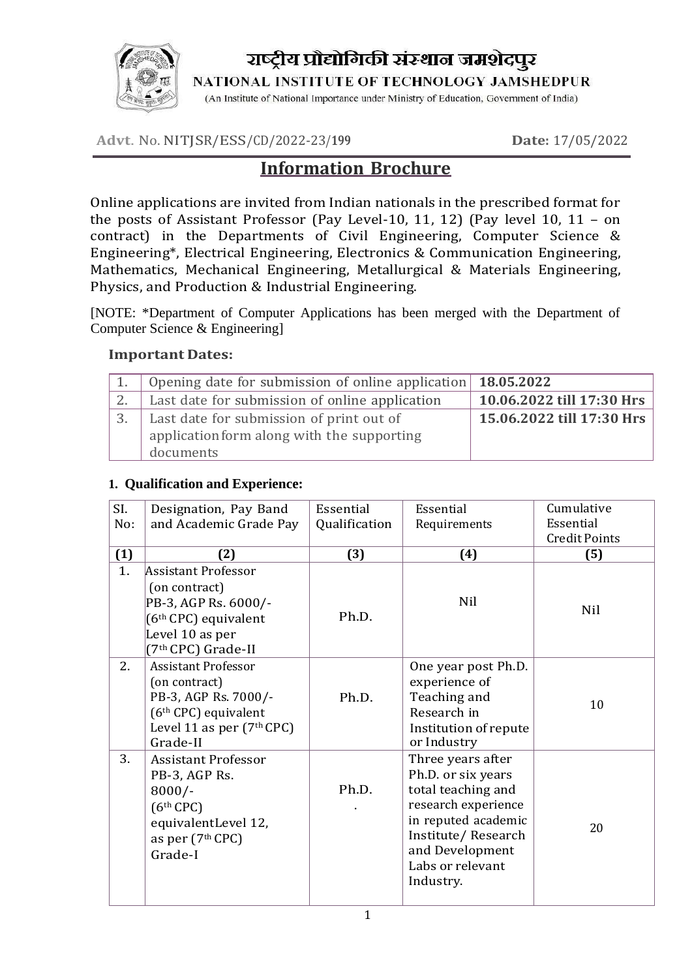

राष्ट्रीय प्रौद्योगिकी संस्थान जमशेदपुर

NATIONAL INSTITUTE OF TECHNOLOGY JAMSHEDPUR

(An Institute of National Importance under Ministry of Education, Government of India)

**Advt**. No. NITJSR/ESS/CD/2022-23/**<sup>199</sup> Date:** 17/05/2022

# **Information Brochure**

Online applications are invited from Indian nationals in the prescribed format for the posts of Assistant Professor (Pay Level-10, 11, 12) (Pay level 10, 11 – on contract) in the Departments of Civil Engineering, Computer Science & Engineering\*, Electrical Engineering, Electronics & Communication Engineering, Mathematics, Mechanical Engineering, Metallurgical & Materials Engineering, Physics, and Production & Industrial Engineering.

[NOTE: \*Department of Computer Applications has been merged with the Department of Computer Science & Engineering]

#### **Important Dates:**

| Opening date for submission of online application 18.05.2022 |                           |
|--------------------------------------------------------------|---------------------------|
| Last date for submission of online application               | 10.06.2022 till 17:30 Hrs |
| Last date for submission of print out of                     | 15.06.2022 till 17:30 Hrs |
| application form along with the supporting                   |                           |
| documents                                                    |                           |

#### **1. Qualification and Experience:**

| SI. | Designation, Pay Band                                                                                                                                                                | Essential     | Essential                                                                                                                                                                             | Cumulative           |
|-----|--------------------------------------------------------------------------------------------------------------------------------------------------------------------------------------|---------------|---------------------------------------------------------------------------------------------------------------------------------------------------------------------------------------|----------------------|
| No: | and Academic Grade Pay                                                                                                                                                               | Qualification | Requirements                                                                                                                                                                          | Essential            |
|     |                                                                                                                                                                                      |               |                                                                                                                                                                                       | <b>Credit Points</b> |
| (1) | (2)                                                                                                                                                                                  | (3)           | (4)                                                                                                                                                                                   | (5)                  |
| 1.  | <b>Assistant Professor</b><br>(on contract)<br>PB-3, AGP Rs. 6000/-<br>$(6th$ CPC) equivalent<br>Level 10 as per                                                                     | Ph.D.         | Nil                                                                                                                                                                                   | Nil                  |
| 2.  | (7 <sup>th</sup> CPC) Grade-II<br><b>Assistant Professor</b><br>(on contract)<br>PB-3, AGP Rs. 7000/-<br>(6 <sup>th</sup> CPC) equivalent<br>Level 11 as per $(7th$ CPC)<br>Grade-II | Ph.D.         | One year post Ph.D.<br>experience of<br>Teaching and<br>Research in<br>Institution of repute<br>or Industry                                                                           | 10                   |
| 3.  | <b>Assistant Professor</b><br>PB-3, AGP Rs.<br>$8000/-$<br>$(6th$ CPC)<br>equivalentLevel 12,<br>as per (7th CPC)<br>Grade-I                                                         | Ph.D.         | Three years after<br>Ph.D. or six years<br>total teaching and<br>research experience<br>in reputed academic<br>Institute/Research<br>and Development<br>Labs or relevant<br>Industry. | 20                   |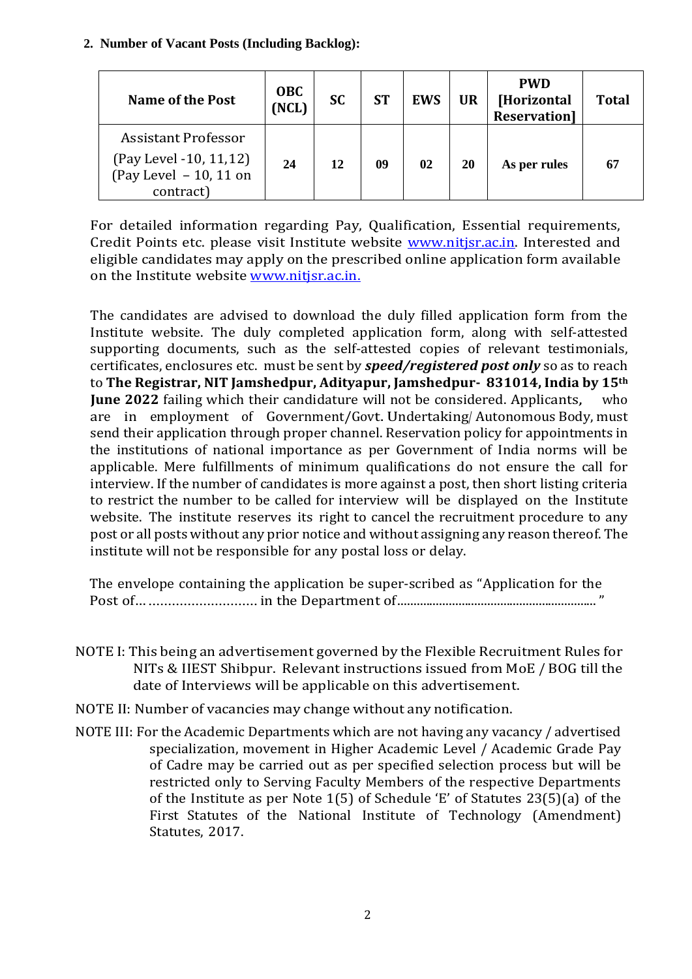#### **2. Number of Vacant Posts (Including Backlog):**

| <b>Name of the Post</b>                                                                | <b>OBC</b><br>(NCL) | <b>SC</b> | <b>ST</b> | <b>EWS</b> | <b>UR</b> | <b>PWD</b><br>[Horizontal<br><b>Reservation</b> | <b>Total</b> |
|----------------------------------------------------------------------------------------|---------------------|-----------|-----------|------------|-----------|-------------------------------------------------|--------------|
| Assistant Professor<br>(Pay Level -10, 11,12)<br>(Pay Level $-10$ , 11 on<br>contract) | 24                  | 12        | 09        | 02         | 20        | As per rules                                    | 67           |

For detailed information regarding Pay, Qualification, Essential requirements, Credit Points etc. please visit Institute website **www.nitisr.ac.in**. Interested and eligible candidates may apply on the prescribed online application form available on the Institute website [www.nitjsr.ac.in.](http://www.nitjsr.ac.in./)

The candidates are advised to download the duly filled application form from the Institute website. The duly completed application form, along with self-attested supporting documents, such as the self-attested copies of relevant testimonials, certificates, enclosures etc. must be sent by *speed/registered post only* so as to reach to **The Registrar, NIT Jamshedpur, Adityapur, Jamshedpur- 831014, India by 15th June 2022** failing which their candidature will not be considered. Applicants, who are in employment of Government/Govt.Undertaking/ Autonomous Body, must send their application through proper channel. Reservation policy for appointments in the institutions of national importance as per Government of India norms will be applicable. Mere fulfillments of minimum qualifications do not ensure the call for interview. If the number of candidates is more against a post, then short listing criteria to restrict the number to be called for interview will be displayed on the Institute website. The institute reserves its right to cancel the recruitment procedure to any post or all posts without any prior notice and without assigning any reason thereof. The institute will not be responsible for any postal loss or delay.

The envelope containing the application be super-scribed as "Application for the Post of…............................ in the Department of.............................................................."

- NOTE I: This being an advertisement governed by the Flexible Recruitment Rules for NITs & IIEST Shibpur. Relevant instructions issued from MoE / BOG till the date of Interviews will be applicable on this advertisement.
- NOTE II: Number of vacancies may change without any notification.
- NOTE III: For the Academic Departments which are not having any vacancy / advertised specialization, movement in Higher Academic Level / Academic Grade Pay of Cadre may be carried out as per specified selection process but will be restricted only to Serving Faculty Members of the respective Departments of the Institute as per Note 1(5) of Schedule 'E' of Statutes 23(5)(a) of the First Statutes of the National Institute of Technology (Amendment) Statutes, 2017.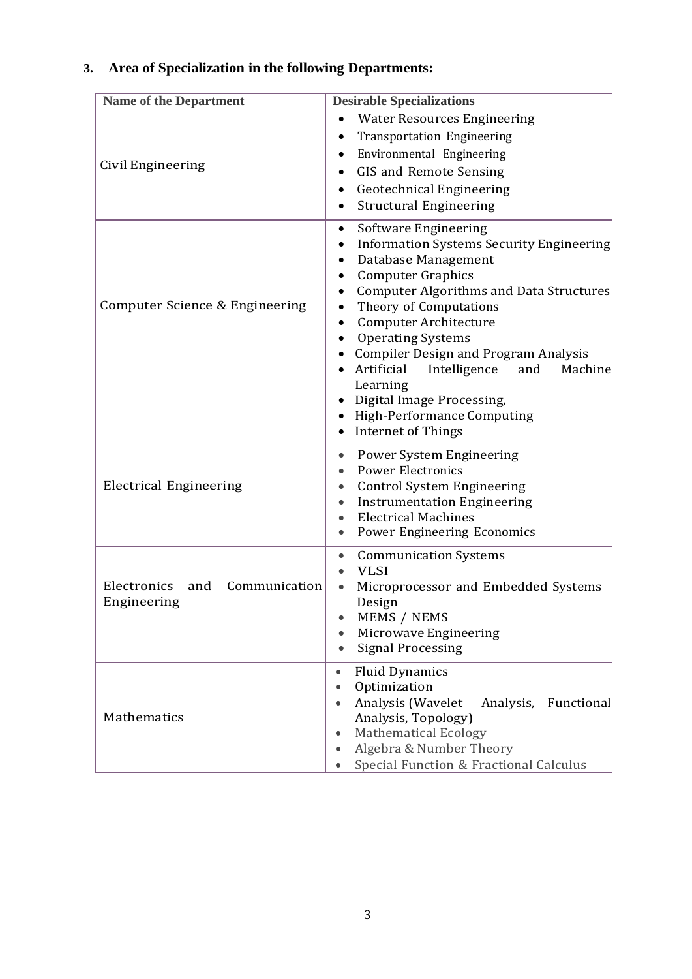# **3. Area of Specialization in the following Departments:**

| <b>Name of the Department</b>                      | <b>Desirable Specializations</b>                                                                                                                                                                                                                                                                                                                                                                                                                                                                                 |  |
|----------------------------------------------------|------------------------------------------------------------------------------------------------------------------------------------------------------------------------------------------------------------------------------------------------------------------------------------------------------------------------------------------------------------------------------------------------------------------------------------------------------------------------------------------------------------------|--|
| Civil Engineering                                  | <b>Water Resources Engineering</b><br><b>Transportation Engineering</b><br>$\bullet$<br>Environmental Engineering<br>$\bullet$<br>GIS and Remote Sensing<br>$\bullet$<br><b>Geotechnical Engineering</b><br>$\bullet$<br><b>Structural Engineering</b><br>$\bullet$                                                                                                                                                                                                                                              |  |
| Computer Science & Engineering                     | Software Engineering<br>$\bullet$<br>Information Systems Security Engineering<br>$\bullet$<br>Database Management<br><b>Computer Graphics</b><br>$\bullet$<br><b>Computer Algorithms and Data Structures</b><br>$\bullet$<br>Theory of Computations<br>Computer Architecture<br><b>Operating Systems</b><br><b>Compiler Design and Program Analysis</b><br>Artificial<br>Intelligence<br>Machine<br>and<br>Learning<br>Digital Image Processing,<br>High-Performance Computing<br><b>Internet of Things</b><br>٠ |  |
| <b>Electrical Engineering</b>                      | Power System Engineering<br>$\bullet$<br><b>Power Electronics</b><br>$\bullet$<br><b>Control System Engineering</b><br>$\bullet$<br><b>Instrumentation Engineering</b><br>$\bullet$<br><b>Electrical Machines</b><br>Power Engineering Economics<br>$\bullet$                                                                                                                                                                                                                                                    |  |
| Electronics<br>and<br>Communication<br>Engineering | <b>Communication Systems</b><br>$\bullet$<br><b>VLSI</b><br>Microprocessor and Embedded Systems<br>Design<br>MEMS / NEMS<br>$\bullet$<br>Microwave Engineering<br><b>Signal Processing</b>                                                                                                                                                                                                                                                                                                                       |  |
| Mathematics                                        | <b>Fluid Dynamics</b><br>$\bullet$<br>Optimization<br>$\bullet$<br>Analysis (Wavelet<br>Analysis,<br>Functional<br>Analysis, Topology)<br><b>Mathematical Ecology</b><br>Algebra & Number Theory<br>$\bullet$<br>Special Function & Fractional Calculus                                                                                                                                                                                                                                                          |  |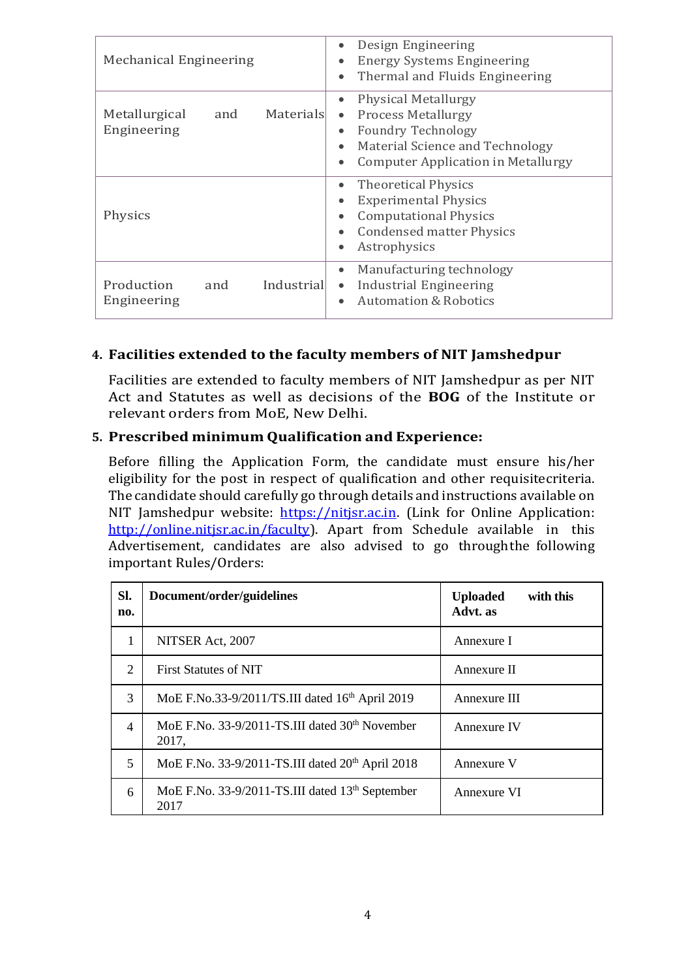| <b>Mechanical Engineering</b>                    | Design Engineering<br>$\bullet$<br><b>Energy Systems Engineering</b><br>$\bullet$<br>Thermal and Fluids Engineering<br>$\bullet$                                                                                                      |
|--------------------------------------------------|---------------------------------------------------------------------------------------------------------------------------------------------------------------------------------------------------------------------------------------|
| Metallurgical<br>Materials<br>and<br>Engineering | <b>Physical Metallurgy</b><br>$\bullet$<br><b>Process Metallurgy</b><br>$\bullet$<br><b>Foundry Technology</b><br>$\bullet$<br>Material Science and Technology<br>$\bullet$<br><b>Computer Application in Metallurgy</b><br>$\bullet$ |
| Physics                                          | <b>Theoretical Physics</b><br>٠<br><b>Experimental Physics</b><br>$\bullet$<br><b>Computational Physics</b><br>$\bullet$<br><b>Condensed matter Physics</b><br>$\bullet$<br>Astrophysics<br>$\bullet$                                 |
| Production<br>Industrial<br>and<br>Engineering   | Manufacturing technology<br>$\bullet$<br>Industrial Engineering<br>$\bullet$<br><b>Automation &amp; Robotics</b><br>$\bullet$                                                                                                         |

## **4. Facilities extended to the faculty members of NIT Jamshedpur**

Facilities are extended to faculty members of NIT Jamshedpur as per NIT Act and Statutes as well as decisions of the **BOG** of the Institute or relevant orders from MoE, New Delhi.

### **5. Prescribed minimum Qualification and Experience:**

Before filling the Application Form, the candidate must ensure his/her eligibility for the post in respect of qualification and other requisitecriteria. The candidate should carefully go through details and instructions available on NIT Jamshedpur website: [https://nitjsr.ac.in.](https://nitjsr.ac.in/) (Link for Online Application: [http://online.nitjsr.ac.in/faculty\)](http://online.nitjsr.ac.in/faculty). Apart from Schedule available in this Advertisement, candidates are also advised to go throughthe following important Rules/Orders:

| SI.<br>no.     | Document/order/guidelines                                           | with this<br><b>Uploaded</b><br>Advt. as |  |
|----------------|---------------------------------------------------------------------|------------------------------------------|--|
| 1              | NITSER Act, 2007                                                    | Annexure I                               |  |
| $\overline{2}$ | <b>First Statutes of NIT</b>                                        | Annexure II                              |  |
| 3              | MoE F.No.33-9/2011/TS.III dated 16th April 2019                     | Annexure III                             |  |
| $\overline{4}$ | MoE F.No. 33-9/2011-TS.III dated 30 <sup>th</sup> November<br>2017, | Annexure IV                              |  |
| 5              | MoE F.No. 33-9/2011-TS.III dated 20 <sup>th</sup> April 2018        | Annexure V                               |  |
| 6              | MoE F.No. 33-9/2011-TS.III dated 13 <sup>th</sup> September<br>2017 | Annexure VI                              |  |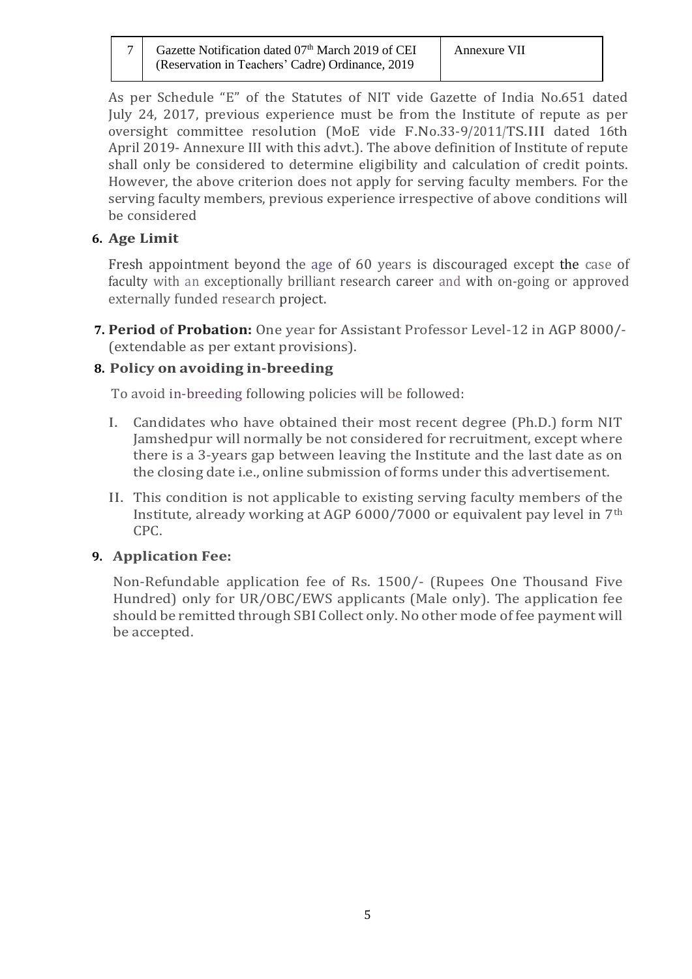| 7 Gazette Notification dated 07 <sup>th</sup> March 2019 of CEI |
|-----------------------------------------------------------------|
| (Reservation in Teachers' Cadre) Ordinance, 2019                |

As per Schedule "E" of the Statutes of NIT vide Gazette of India No.651 dated July 24, 2017, previous experience must be from the Institute of repute as per oversight committee resolution (MoE vide F.No.33-9/2011/TS.III dated 16th April 2019- Annexure III with this advt.). The above definition of Institute of repute shall only be considered to determine eligibility and calculation of credit points. However, the above criterion does not apply for serving faculty members. For the serving faculty members, previous experience irrespective of above conditions will be considered

## **6. Age Limit**

Fresh appointment beyond the age of 60 years is discouraged except the case of faculty with an exceptionally brilliant research career and with on-going or approved externally funded research project.

**7. Period of Probation:** One year for Assistant Professor Level-12 in AGP 8000/- (extendable as per extant provisions).

## **8. Policy on avoiding in-breeding**

To avoid in-breeding following policies will be followed:

- I. Candidates who have obtained their most recent degree (Ph.D.) form NIT Jamshedpur will normally be not considered for recruitment, except where there is a 3-years gap between leaving the Institute and the last date as on the closing date i.e., online submission of forms under this advertisement.
- II. This condition is not applicable to existing serving faculty members of the Institute, already working at AGP 6000/7000 or equivalent pay level in 7th CPC.

## **9. Application Fee:**

Non-Refundable application fee of Rs. 1500/- (Rupees One Thousand Five Hundred) only for UR/OBC/EWS applicants (Male only). The application fee should be remitted through SBI Collect only. No other mode of fee payment will be accepted.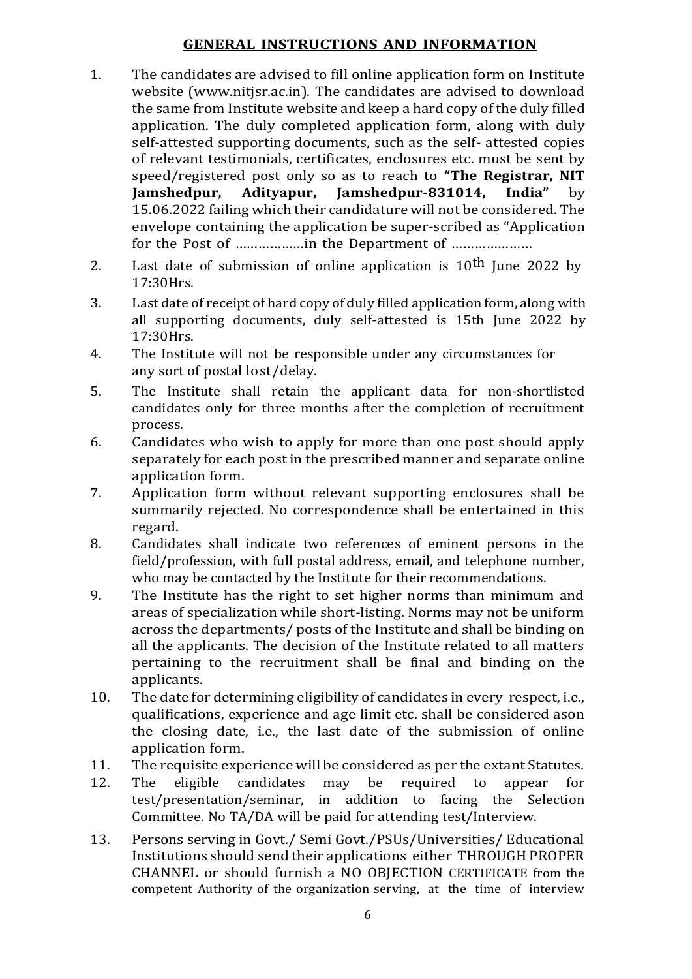### **GENERAL INSTRUCTIONS AND INFORMATION**

- 1. The candidates are advised to fill online application form on Institute website (www.nitjsr.ac.in). The candidates are advised to download the same from Institute website and keep a hard copy of the duly filled application. The duly completed application form, along with duly self-attested supporting documents, such as the self- attested copies of relevant testimonials, certificates, enclosures etc. must be sent by speed/registered post only so as to reach to **"The Registrar, NIT Jamshedpur, Adityapur, Jamshedpur-831014, India"** by 15.06.2022 failing which their candidature will not be considered. The envelope containing the application be super-scribed as "Application for the Post of ………………in the Department of …………………
- 2. Last date of submission of online application is  $10^{th}$  June 2022 by 17:30Hrs.
- 3. Last date of receipt of hard copy of duly filled application form, along with all supporting documents, duly self-attested is 15th June 2022 by 17:30Hrs.
- 4. The Institute will not be responsible under any circumstances for any sort of postal lost/delay.
- 5. The Institute shall retain the applicant data for non-shortlisted candidates only for three months after the completion of recruitment process.
- 6. Candidates who wish to apply for more than one post should apply separately for each post in the prescribed manner and separate online application form.
- 7. Application form without relevant supporting enclosures shall be summarily rejected. No correspondence shall be entertained in this regard.
- 8. Candidates shall indicate two references of eminent persons in the field/profession, with full postal address, email, and telephone number, who may be contacted by the Institute for their recommendations.
- 9. The Institute has the right to set higher norms than minimum and areas of specialization while short-listing. Norms may not be uniform across the departments/ posts of the Institute and shall be binding on all the applicants. The decision of the Institute related to all matters pertaining to the recruitment shall be final and binding on the applicants.
- 10. The date for determining eligibility of candidates in every respect, i.e., qualifications, experience and age limit etc. shall be considered ason the closing date, i.e., the last date of the submission of online application form.
- 11. The requisite experience will be considered as per the extant Statutes.
- 12. The eligible candidates may be required to appear for test/presentation/seminar, in addition to facing the Selection Committee. No TA/DA will be paid for attending test/Interview.
- 13. Persons serving in Govt./ Semi Govt./PSUs/Universities/ Educational Institutions should send their applications either THROUGH PROPER CHANNEL or should furnish a NO OBJECTION CERTIFICATE from the competent Authority of the organization serving, at the time of interview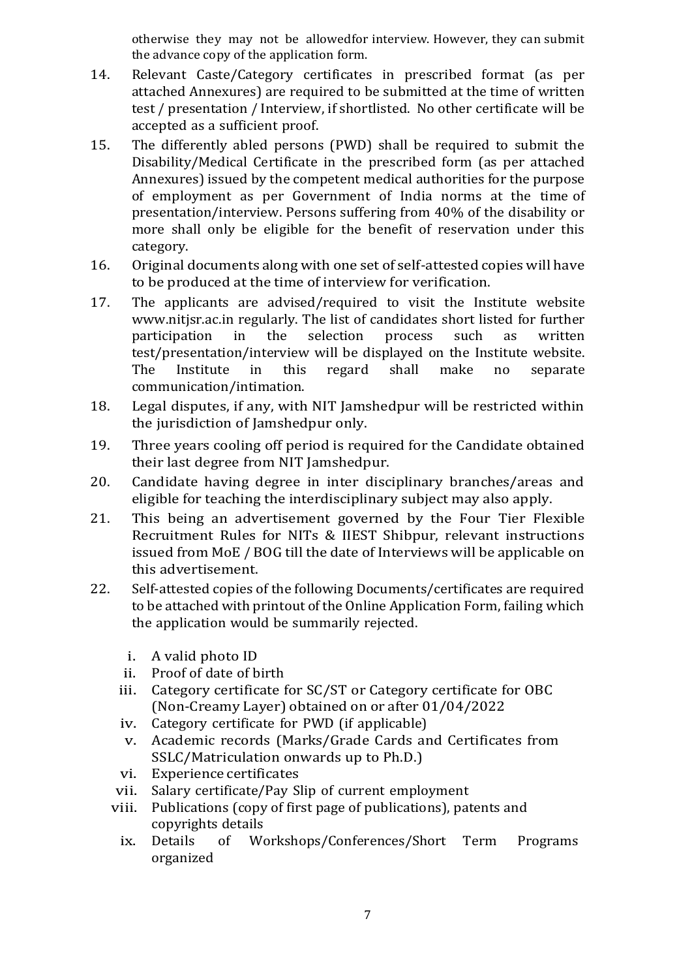otherwise they may not be allowedfor interview. However, they can submit the advance copy of the application form.

- 14. Relevant Caste/Category certificates in prescribed format (as per attached Annexures) are required to be submitted at the time of written test / presentation / Interview, if shortlisted. No other certificate will be accepted as a sufficient proof.
- 15. The differently abled persons (PWD) shall be required to submit the Disability/Medical Certificate in the prescribed form (as per attached Annexures) issued by the competent medical authorities for the purpose of employment as per Government of India norms at the time of presentation/interview. Persons suffering from 40% of the disability or more shall only be eligible for the benefit of reservation under this category.
- 16. Original documents along with one set of self-attested copies will have to be produced at the time of interview for verification.
- 17. The applicants are advised/required to visit the Institute website [www.nitjsr.ac.in](http://www.nitp.ac.in/) regularly. The list of candidates short listed for further participation in the selection process such as written test/presentation/interview will be displayed on the Institute website. The Institute in this regard shall make no separate communication/intimation.
- 18. Legal disputes, if any, with NIT Jamshedpur will be restricted within the jurisdiction of Jamshedpur only.
- 19. Three years cooling off period is required for the Candidate obtained their last degree from NIT Jamshedpur.
- 20. Candidate having degree in inter disciplinary branches/areas and eligible for teaching the interdisciplinary subject may also apply.
- 21. This being an advertisement governed by the Four Tier Flexible Recruitment Rules for NITs & IIEST Shibpur, relevant instructions issued from MoE / BOG till the date of Interviews will be applicable on this advertisement.
- 22. Self-attested copies of the following Documents/certificates are required to be attached with printout of the Online Application Form, failing which the application would be summarily rejected.
	- i. A valid photo ID
	- ii. Proof of date of birth
	- iii. Category certificate for SC/ST or Category certificate for OBC (Non-Creamy Layer) obtained on or after 01/04/2022
	- iv. Category certificate for PWD (if applicable)
	- v. Academic records (Marks/Grade Cards and Certificates from SSLC/Matriculation onwards up to Ph.D.)
	- vi. Experience certificates
	- vii. Salary certificate/Pay Slip of current employment
	- viii. Publications (copy of first page of publications), patents and copyrights details
		- ix. Details of Workshops/Conferences/Short Term Programs organized